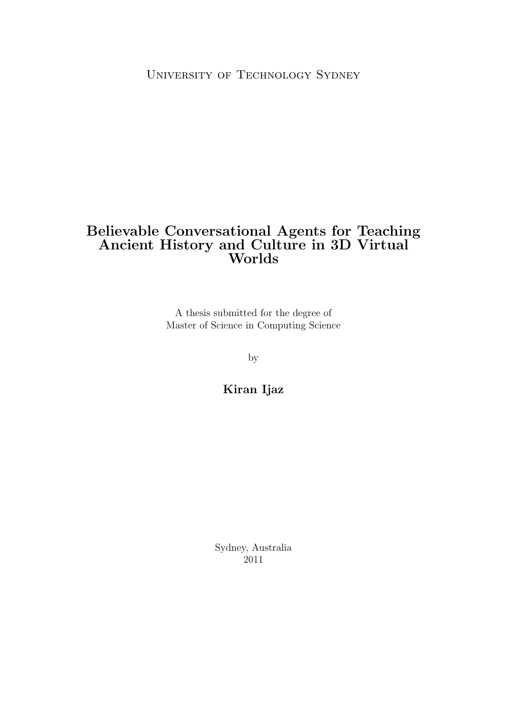### Believable Conversational Agents for Teaching Ancient History and Culture in 3D Virtual Worlds

A thesis submitted for the degree of Master of Science in Computing Science

by

Kiran Ijaz

Sydney, Australia 2011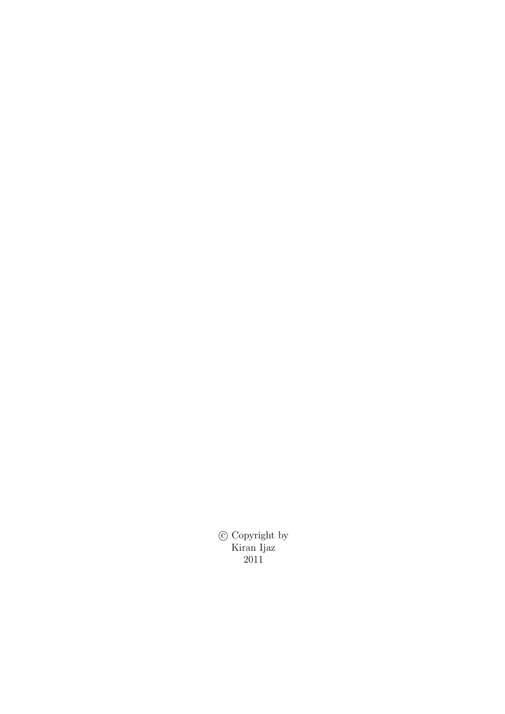c Copyright by Kiran Ijaz 2011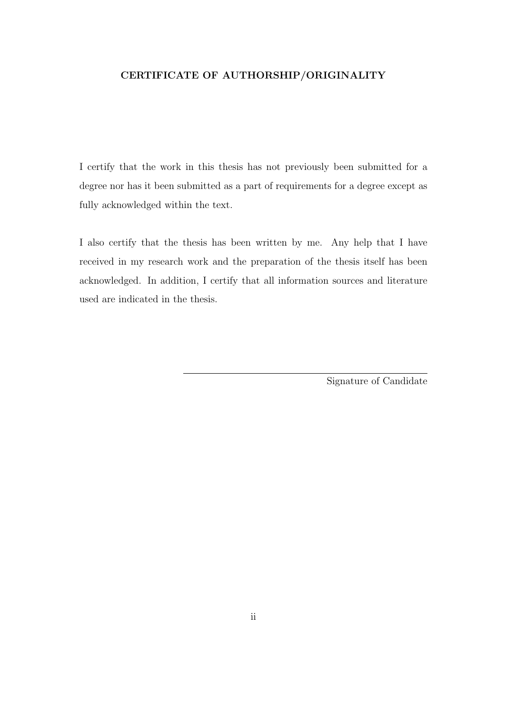### CERTIFICATE OF AUTHORSHIP/ORIGINALITY

I certify that the work in this thesis has not previously been submitted for a degree nor has it been submitted as a part of requirements for a degree except as fully acknowledged within the text.

I also certify that the thesis has been written by me. Any help that I have received in my research work and the preparation of the thesis itself has been acknowledged. In addition, I certify that all information sources and literature used are indicated in the thesis.

Signature of Candidate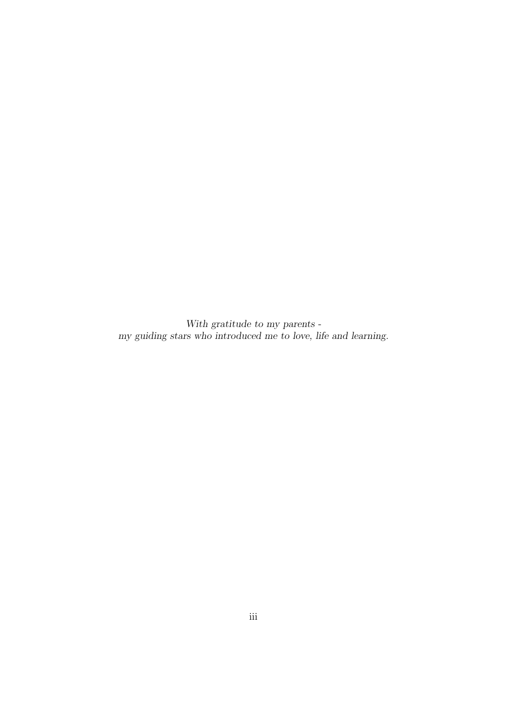With gratitude to my parents my guiding stars who introduced me to love, life and learning.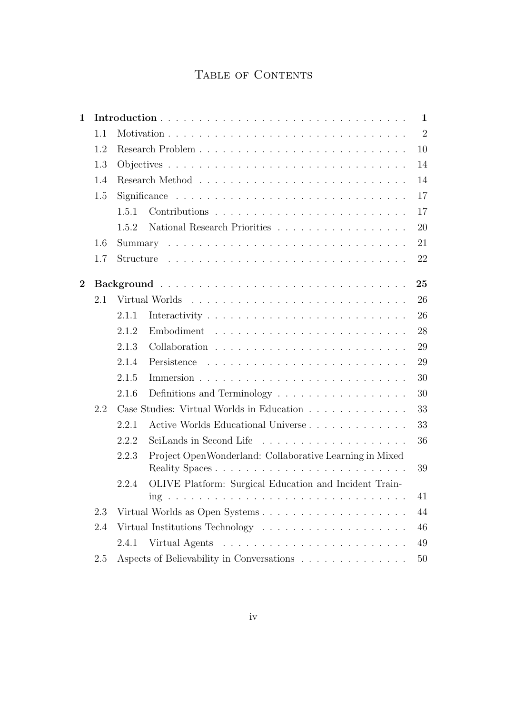# TABLE OF CONTENTS

| $\mathbf{1}$ |     |       |                                                         | $\mathbf{1}$   |
|--------------|-----|-------|---------------------------------------------------------|----------------|
|              | 1.1 |       |                                                         | $\overline{2}$ |
|              | 1.2 |       |                                                         | 10             |
|              | 1.3 |       |                                                         | 14             |
|              | 1.4 |       |                                                         | 14             |
|              | 1.5 |       |                                                         | 17             |
|              |     | 1.5.1 |                                                         | 17             |
|              |     | 1.5.2 | National Research Priorities                            | 20             |
|              | 1.6 |       |                                                         | 21             |
|              | 1.7 |       |                                                         | 22             |
| $\bf{2}$     |     |       |                                                         | 25             |
|              | 2.1 |       |                                                         | 26             |
|              |     | 2.1.1 |                                                         | 26             |
|              |     | 2.1.2 |                                                         | 28             |
|              |     | 2.1.3 |                                                         | 29             |
|              |     | 2.1.4 |                                                         | 29             |
|              |     | 2.1.5 |                                                         | 30             |
|              |     | 2.1.6 | Definitions and Terminology                             | 30             |
|              | 2.2 |       | Case Studies: Virtual Worlds in Education               | 33             |
|              |     | 2.2.1 | Active Worlds Educational Universe                      | 33             |
|              |     | 2.2.2 |                                                         | 36             |
|              |     | 2.2.3 | Project OpenWonderland: Collaborative Learning in Mixed | 39             |
|              |     | 2.2.4 | OLIVE Platform: Surgical Education and Incident Train-  | 41             |
|              | 2.3 |       |                                                         | 44             |
|              | 2.4 |       |                                                         | 46             |
|              |     | 2.4.1 |                                                         | 49             |
|              | 2.5 |       | Aspects of Believability in Conversations               | 50             |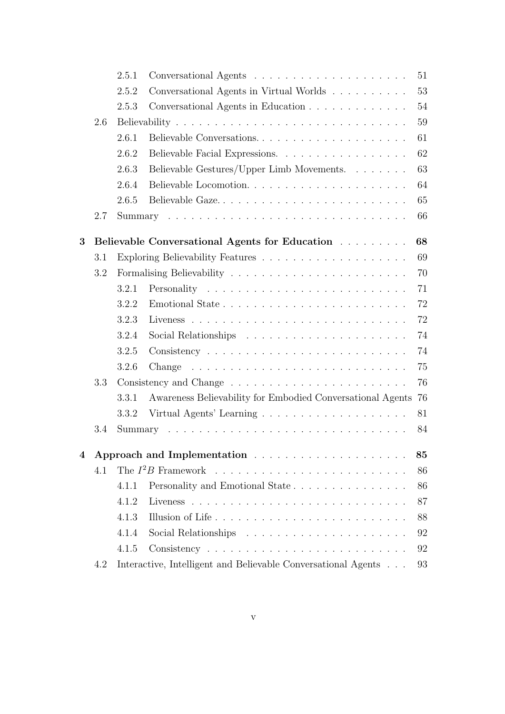|   |     | 2.5.1 |                                                                                    | 51 |
|---|-----|-------|------------------------------------------------------------------------------------|----|
|   |     | 2.5.2 | Conversational Agents in Virtual Worlds                                            | 53 |
|   |     | 2.5.3 | Conversational Agents in Education                                                 | 54 |
|   | 2.6 |       |                                                                                    | 59 |
|   |     | 2.6.1 | Believable Conversations                                                           | 61 |
|   |     | 2.6.2 | Believable Facial Expressions.                                                     | 62 |
|   |     | 2.6.3 | Believable Gestures/Upper Limb Movements.                                          | 63 |
|   |     | 2.6.4 |                                                                                    | 64 |
|   |     | 2.6.5 | Believable Gaze                                                                    | 65 |
|   | 2.7 |       |                                                                                    | 66 |
|   |     |       |                                                                                    |    |
| 3 |     |       | Believable Conversational Agents for Education                                     | 68 |
|   | 3.1 |       |                                                                                    | 69 |
|   | 3.2 |       |                                                                                    | 70 |
|   |     | 3.2.1 |                                                                                    | 71 |
|   |     | 3.2.2 |                                                                                    | 72 |
|   |     | 3.2.3 |                                                                                    | 72 |
|   |     | 3.2.4 |                                                                                    | 74 |
|   |     | 3.2.5 |                                                                                    | 74 |
|   |     | 3.2.6 | Change                                                                             | 75 |
|   | 3.3 |       |                                                                                    | 76 |
|   |     | 3.3.1 | Awareness Believability for Embodied Conversational Agents                         | 76 |
|   |     | 3.3.2 |                                                                                    | 81 |
|   | 3.4 |       |                                                                                    | 84 |
| 4 |     |       |                                                                                    | 85 |
|   | 4.1 |       |                                                                                    | 86 |
|   |     | 4.1.1 | Personality and Emotional State                                                    | 86 |
|   |     | 4.1.2 |                                                                                    | 87 |
|   |     | 4.1.3 | Illusion of Life                                                                   | 88 |
|   |     | 4.1.4 |                                                                                    | 92 |
|   |     | 4.1.5 |                                                                                    | 92 |
|   | 4.2 |       | Interactive, Intelligent and Believable Conversational Agents $\phantom{1} \ldots$ | 93 |
|   |     |       |                                                                                    |    |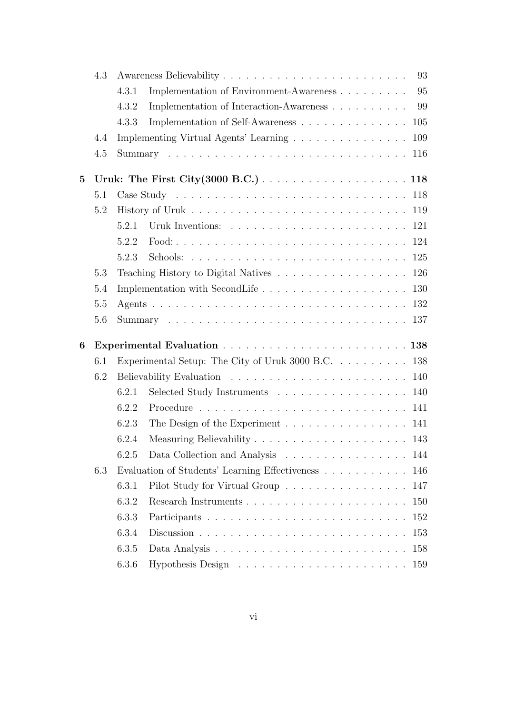|                 | 4.3 |       | 93                                                                             |
|-----------------|-----|-------|--------------------------------------------------------------------------------|
|                 |     | 4.3.1 | 95<br>Implementation of Environment-Awareness                                  |
|                 |     | 4.3.2 | Implementation of Interaction-Awareness<br>99                                  |
|                 |     | 4.3.3 | Implementation of Self-Awareness<br>105                                        |
|                 | 4.4 |       | Implementing Virtual Agents' Learning<br>109                                   |
|                 | 4.5 |       | 116                                                                            |
| $5\overline{)}$ |     |       |                                                                                |
|                 | 5.1 |       |                                                                                |
|                 | 5.2 |       |                                                                                |
|                 |     | 5.2.1 | Uruk Inventions: $\ldots \ldots \ldots \ldots \ldots \ldots \ldots \ldots 121$ |
|                 |     | 5.2.2 |                                                                                |
|                 |     | 5.2.3 |                                                                                |
|                 | 5.3 |       | Teaching History to Digital Natives 126                                        |
|                 | 5.4 |       |                                                                                |
|                 | 5.5 |       |                                                                                |
|                 | 5.6 |       |                                                                                |
| 6               |     |       |                                                                                |
|                 | 6.1 |       | Experimental Setup: The City of Uruk 3000 B.C. 138                             |
|                 | 6.2 |       |                                                                                |
|                 |     | 6.2.1 | Selected Study Instruments 140                                                 |
|                 |     | 6.2.2 |                                                                                |
|                 |     | 6.2.3 | The Design of the Experiment $\ldots \ldots \ldots \ldots \ldots 141$          |
|                 |     | 6.2.4 |                                                                                |
|                 |     | 6.2.5 | Data Collection and Analysis<br>. 144                                          |
|                 | 6.3 |       | Evaluation of Students' Learning Effectiveness<br>146                          |
|                 |     | 6.3.1 | Pilot Study for Virtual Group<br>147                                           |
|                 |     | 6.3.2 | 150                                                                            |
|                 |     | 6.3.3 | 152                                                                            |
|                 |     | 6.3.4 | 153                                                                            |
|                 |     | 6.3.5 | 158                                                                            |
|                 |     | 6.3.6 | 159                                                                            |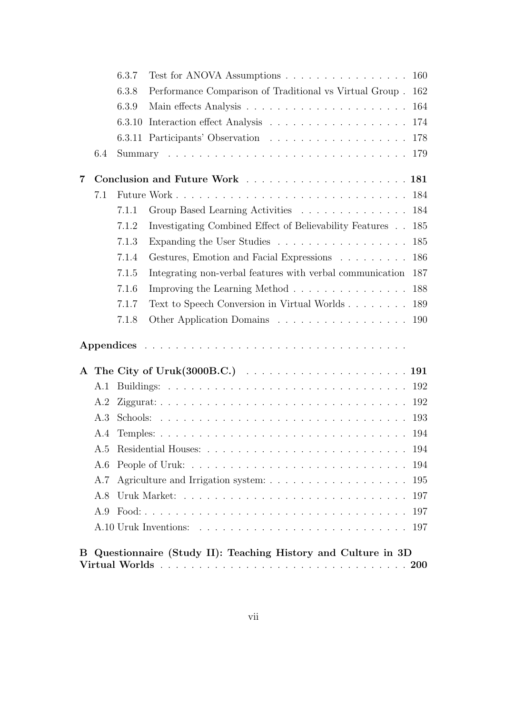|   |     | 6.3.7 | Test for ANOVA Assumptions $\ldots \ldots \ldots \ldots \ldots \ldots 160$ |     |
|---|-----|-------|----------------------------------------------------------------------------|-----|
|   |     | 6.3.8 | Performance Comparison of Traditional vs Virtual Group. 162                |     |
|   |     | 6.3.9 |                                                                            |     |
|   |     |       |                                                                            |     |
|   |     |       |                                                                            |     |
|   | 6.4 |       |                                                                            |     |
| 7 |     |       |                                                                            |     |
|   | 7.1 |       |                                                                            |     |
|   |     | 7.1.1 | Group Based Learning Activities 184                                        |     |
|   |     | 7.1.2 | Investigating Combined Effect of Believability Features 185                |     |
|   |     | 7.1.3 | Expanding the User Studies                                                 | 185 |
|   |     | 7.1.4 | Gestures, Emotion and Facial Expressions                                   | 186 |
|   |     | 7.1.5 | Integrating non-verbal features with verbal communication                  | 187 |
|   |     | 7.1.6 | Improving the Learning Method 188                                          |     |
|   |     | 7.1.7 | Text to Speech Conversion in Virtual Worlds                                | 189 |
|   |     | 7.1.8 | Other Application Domains 190                                              |     |
|   |     |       |                                                                            |     |
|   |     |       |                                                                            |     |
|   | A.1 |       |                                                                            |     |
|   | A.2 |       |                                                                            |     |
|   | A.3 |       |                                                                            |     |
|   | A.4 |       |                                                                            |     |
|   |     |       | A.5 Residential Houses:                                                    | 194 |
|   | A.6 |       |                                                                            | 194 |
|   | A.7 |       |                                                                            | 195 |
|   | A.8 |       |                                                                            | 197 |
|   | A.9 |       |                                                                            | 197 |
|   |     |       |                                                                            | 197 |
| B |     |       | Questionnaire (Study II): Teaching History and Culture in 3D               |     |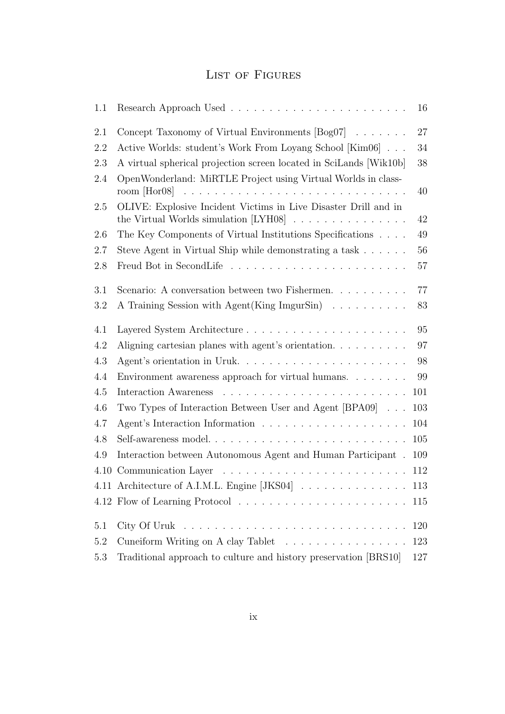## LIST OF FIGURES

| 1.1     |                                                                        | 16     |
|---------|------------------------------------------------------------------------|--------|
| 2.1     | Concept Taxonomy of Virtual Environments $[Bog07] \dots \dots$         | 27     |
| 2.2     | Active Worlds: student's Work From Loyang School [Kim06]               | 34     |
| 2.3     | A virtual spherical projection screen located in SciLands [Wik10b]     | $38\,$ |
| 2.4     | OpenWonderland: MiRTLE Project using Virtual Worlds in class-          | 40     |
| 2.5     | OLIVE: Explosive Incident Victims in Live Disaster Drill and in        | 42     |
| 2.6     | The Key Components of Virtual Institutions Specifications              | 49     |
| 2.7     | Steve Agent in Virtual Ship while demonstrating a task $\ldots \ldots$ | 56     |
| 2.8     |                                                                        | 57     |
| 3.1     | Scenario: A conversation between two Fishermen.                        | 77     |
| 3.2     | A Training Session with Agent(King ImgurSin)                           | 83     |
| 4.1     |                                                                        | 95     |
| 4.2     | Aligning cartesian planes with agent's orientation.                    | 97     |
| 4.3     |                                                                        | 98     |
| $4.4\,$ | Environment awareness approach for virtual humans.                     | 99     |
| 4.5     |                                                                        | 101    |
| 4.6     | Two Types of Interaction Between User and Agent [BPA09]                | 103    |
| 4.7     |                                                                        | 104    |
| 4.8     |                                                                        | 105    |
| 4.9     | Interaction between Autonomous Agent and Human Participant.            | 109    |
|         |                                                                        | 112    |
|         | 4.11 Architecture of A.I.M.L. Engine [JKS04] 113                       |        |
|         |                                                                        | 115    |
| 5.1     |                                                                        | 120    |
| 5.2     | Cuneiform Writing on A clay Tablet                                     | 123    |
| 5.3     | Traditional approach to culture and history preservation [BRS10]       | 127    |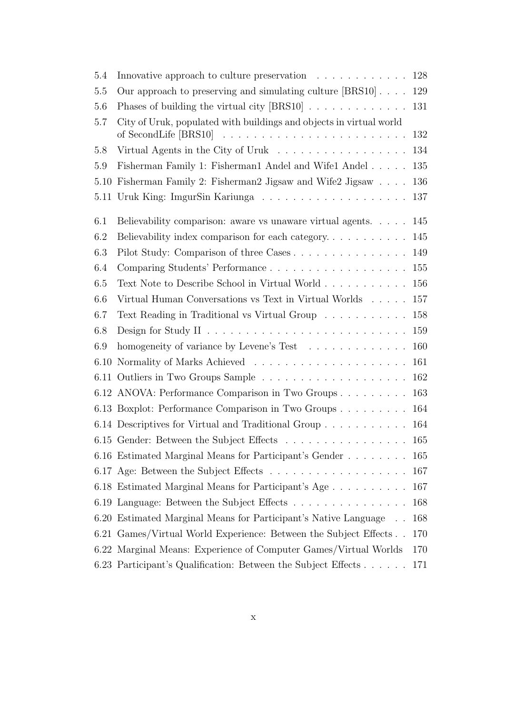| 5.4  | Innovative approach to culture preservation $\ldots \ldots \ldots \ldots 128$        |     |
|------|--------------------------------------------------------------------------------------|-----|
| 5.5  | Our approach to preserving and simulating culture $\left[\text{BRS10}\right]$        | 129 |
| 5.6  | Phases of building the virtual city $[BRS10] \ldots \ldots \ldots \ldots$            | 131 |
| 5.7  | City of Uruk, populated with buildings and objects in virtual world                  |     |
|      |                                                                                      | 132 |
| 5.8  | Virtual Agents in the City of Uruk                                                   | 134 |
| 5.9  | Fisherman Family 1: Fisherman1 Andel and Wife1 Andel                                 | 135 |
|      | 5.10 Fisherman Family 2: Fisherman2 Jigsaw and Wife2 Jigsaw                          | 136 |
|      |                                                                                      | 137 |
| 6.1  | Believability comparison: aware vs unaware virtual agents. 145                       |     |
| 6.2  | Believability index comparison for each category                                     | 145 |
| 6.3  |                                                                                      | 149 |
| 6.4  | Comparing Students' Performance 155                                                  |     |
| 6.5  |                                                                                      | 156 |
| 6.6  | Virtual Human Conversations vs Text in Virtual Worlds                                | 157 |
| 6.7  | Text Reading in Traditional vs Virtual Group                                         | 158 |
| 6.8  | Design for Study II $\ldots \ldots \ldots \ldots \ldots \ldots \ldots \ldots \ldots$ | 159 |
| 6.9  | homogeneity of variance by Levene's Test                                             | 160 |
| 6.10 |                                                                                      | 161 |
|      |                                                                                      |     |
|      | 6.12 ANOVA: Performance Comparison in Two Groups                                     | 163 |
|      | 6.13 Boxplot: Performance Comparison in Two Groups                                   | 164 |
|      | 6.14 Descriptives for Virtual and Traditional Group                                  | 164 |
|      | 6.15 Gender: Between the Subject Effects 165                                         |     |
|      | 6.16 Estimated Marginal Means for Participant's Gender 165                           |     |
|      |                                                                                      | 167 |
|      | 6.18 Estimated Marginal Means for Participant's Age                                  | 167 |
|      | 6.19 Language: Between the Subject Effects                                           | 168 |
|      | 6.20 Estimated Marginal Means for Participant's Native Language                      | 168 |
|      | 6.21 Games/Virtual World Experience: Between the Subject Effects                     | 170 |
|      | 6.22 Marginal Means: Experience of Computer Games/Virtual Worlds                     | 170 |
|      | 6.23 Participant's Qualification: Between the Subject Effects                        | 171 |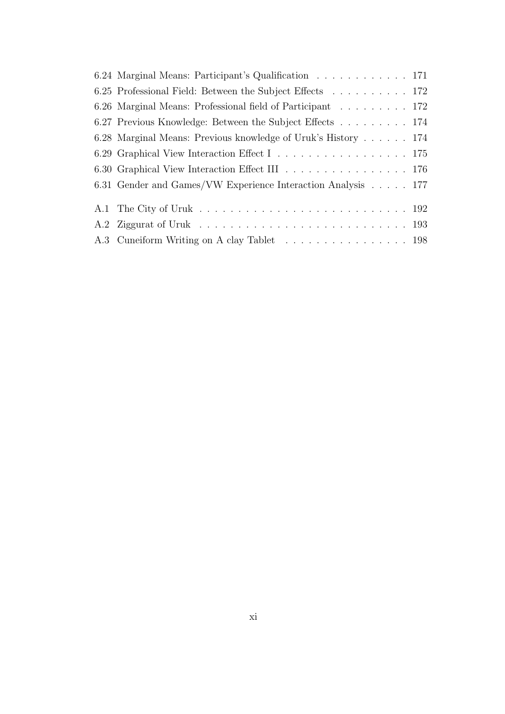| 6.24 Marginal Means: Participant's Qualification 171          |
|---------------------------------------------------------------|
| 6.25 Professional Field: Between the Subject Effects 172      |
| 6.26 Marginal Means: Professional field of Participant 172    |
| 6.27 Previous Knowledge: Between the Subject Effects 174      |
| 6.28 Marginal Means: Previous knowledge of Uruk's History 174 |
|                                                               |
|                                                               |
| 6.31 Gender and Games/VW Experience Interaction Analysis 177  |
|                                                               |
|                                                               |
| A.3 Cuneiform Writing on A clay Tablet 198                    |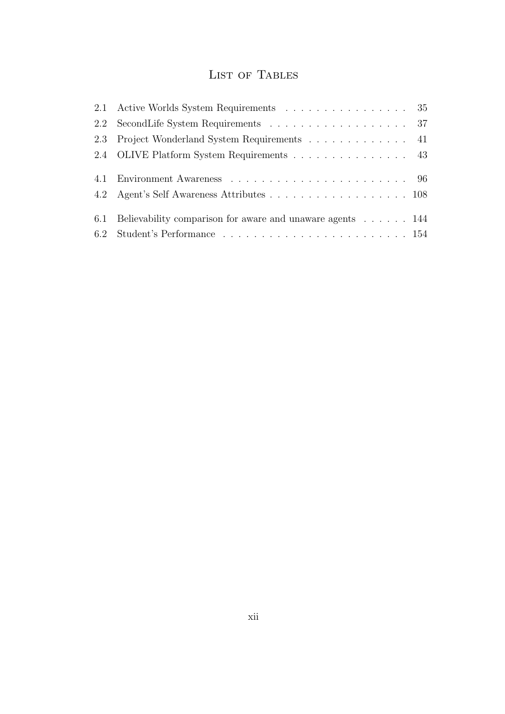# LIST OF TABLES

| 2.1 Active Worlds System Requirements 35                      |
|---------------------------------------------------------------|
| 2.2 SecondLife System Requirements 37                         |
| 2.3 Project Wonderland System Requirements 41                 |
| 2.4 OLIVE Platform System Requirements 43                     |
|                                                               |
|                                                               |
| 4.2 Agent's Self Awareness Attributes 108                     |
|                                                               |
| 6.1 Believability comparison for aware and unaware agents 144 |
|                                                               |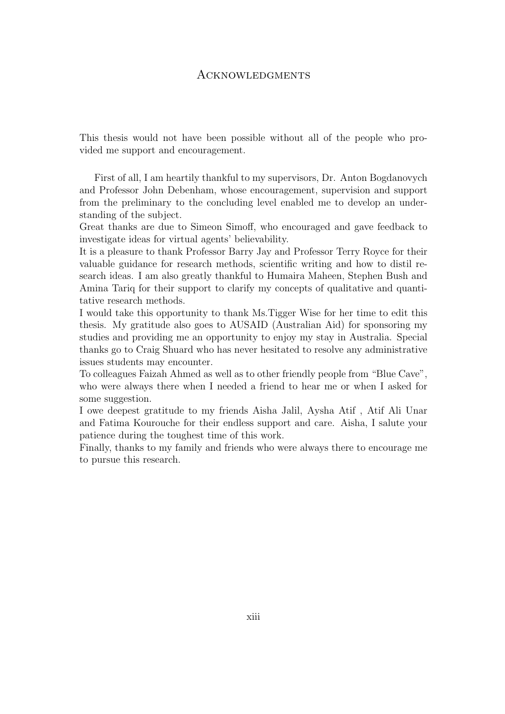### **ACKNOWLEDGMENTS**

This thesis would not have been possible without all of the people who provided me support and encouragement.

First of all, I am heartily thankful to my supervisors, Dr. Anton Bogdanovych and Professor John Debenham, whose encouragement, supervision and support from the preliminary to the concluding level enabled me to develop an understanding of the subject.

Great thanks are due to Simeon Simoff, who encouraged and gave feedback to investigate ideas for virtual agents' believability.

It is a pleasure to thank Professor Barry Jay and Professor Terry Royce for their valuable guidance for research methods, scientific writing and how to distil research ideas. I am also greatly thankful to Humaira Maheen, Stephen Bush and Amina Tariq for their support to clarify my concepts of qualitative and quantitative research methods.

I would take this opportunity to thank Ms.Tigger Wise for her time to edit this thesis. My gratitude also goes to AUSAID (Australian Aid) for sponsoring my studies and providing me an opportunity to enjoy my stay in Australia. Special thanks go to Craig Shuard who has never hesitated to resolve any administrative issues students may encounter.

To colleagues Faizah Ahmed as well as to other friendly people from "Blue Cave", who were always there when I needed a friend to hear me or when I asked for some suggestion.

I owe deepest gratitude to my friends Aisha Jalil, Aysha Atif , Atif Ali Unar and Fatima Kourouche for their endless support and care. Aisha, I salute your patience during the toughest time of this work.

Finally, thanks to my family and friends who were always there to encourage me to pursue this research.